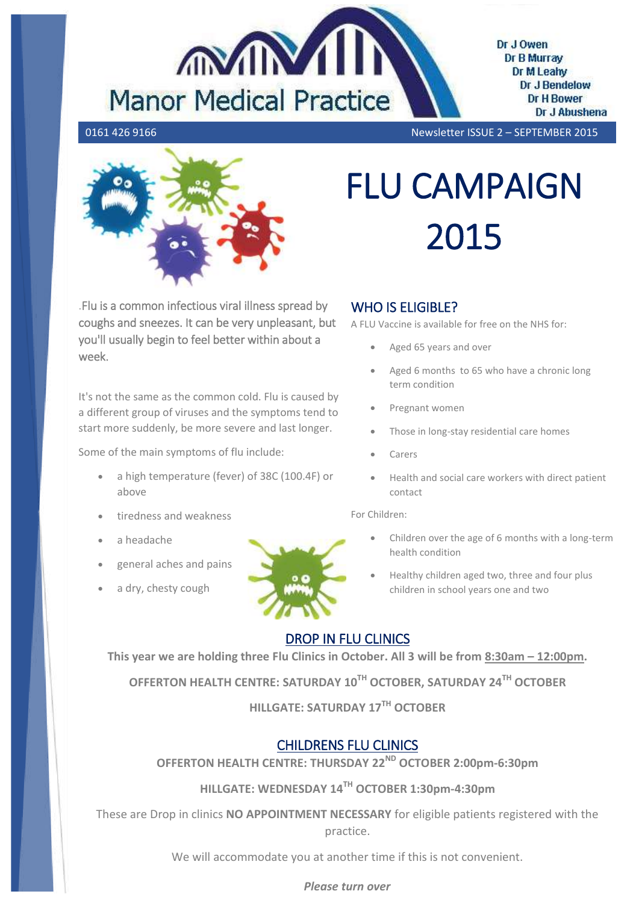

Dr J Owen Dr B Murray Dr M Leahv Dr J Bendelow **Dr H Bower** Dr J Abushena

0161 426 9166 Newsletter ISSUE 2 – SEPTEMBER 2015



.Flu is a common infectious viral illness spread by coughs and sneezes. It can be very unpleasant, but you'll usually begin to feel better within about a week.

It's not the same as the common cold. Flu is caused by a different group of viruses and the symptoms tend to start more suddenly, be more severe and last longer.

Some of the main symptoms of flu include:

- a high temperature (fever) of 38C (100.4F) or above
- tiredness and weakness
- a headache
- general aches and pains
- a dry, chesty cough



## WHO IS FLIGIBLE?

A FLU Vaccine is available for free on the NHS for:

FLU CAMPAIGN

2015

- Aged 65 years and over
- Aged 6 months to 65 who have a chronic long term condition
- Pregnant women
- Those in long-stay residential care homes
- Carers
- Health and social care workers with direct patient contact

For Children:

- Children over the age of 6 months with a long-term health condition
- Healthy children aged two, three and four plus children in school years one and two

# DROP IN FLU CLINICS

**This year we are holding three Flu Clinics in October. All 3 will be from 8:30am – 12:00pm.**

**OFFERTON HEALTH CENTRE: SATURDAY 10TH OCTOBER, SATURDAY 24TH OCTOBER**

**HILLGATE: SATURDAY 17TH OCTOBER**

## CHILDRENS FLU CLINICS

**OFFERTON HEALTH CENTRE: THURSDAY 22ND OCTOBER 2:00pm-6:30pm**

## **HILLGATE: WEDNESDAY 14TH OCTOBER 1:30pm-4:30pm**

These are Drop in clinics **NO APPOINTMENT NECESSARY** for eligible patients registered with the practice.

We will accommodate you at another time if this is not convenient.

## *Please turn over*